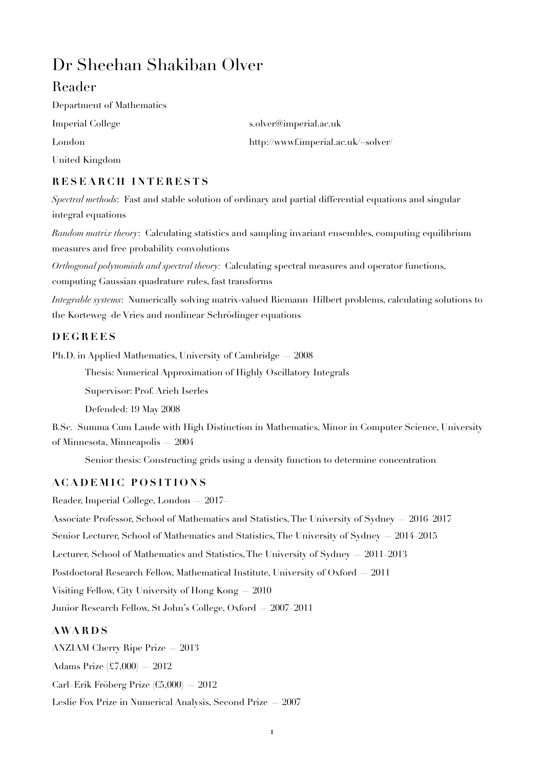# Dr Sheehan Shakiban Olver

## Reader

Department of Mathematics Imperial College s.olver@imperial.ac.uk United Kingdom

London http://www.f.imperial.ac.uk/~solver/

### **RESEARCH INTERESTS**

*Spectral methods*: Fast and stable solution of ordinary and partial differential equations and singular integral equations

*Random matrix theory*: Calculating statistics and sampling invariant ensembles, computing equilibrium measures and free probability convolutions

*Orthogonal polynomials and spectral theory:* Calculating spectral measures and operator functions, computing Gaussian quadrature rules, fast transforms

*Integrable systems*: Numerically solving matrix-valued Riemann–Hilbert problems, calculating solutions to the Korteweg–de Vries and nonlinear Schrödinger equations

#### **DEGREES**

Ph.D. in Applied Mathematics, University of Cambridge — 2008

Thesis: Numerical Approximation of Highly Oscillatory Integrals

Supervisor: Prof. Arieh Iserles

Defended: 19 May 2008

B.Sc. Summa Cum Laude with High Distinction in Mathematics, Minor in Computer Science, University of Minnesota, Minneapolis — 2004

Senior thesis: Constructing grids using a density function to determine concentration

#### **ACADEMIC POSITIONS**

Reader, Imperial College, London — 2017–

Associate Professor, School of Mathematics and Statistics, The University of Sydney — 2016–2017 Senior Lecturer, School of Mathematics and Statistics, The University of Sydney — 2014–2015 Lecturer, School of Mathematics and Statistics, The University of Sydney — 2011–2013 Postdoctoral Research Fellow, Mathematical Institute, University of Oxford — 2011 Visiting Fellow, City University of Hong Kong — 2010 Junior Research Fellow, St John's College, Oxford — 2007–2011

#### **AWARDS**

ANZIAM Cherry Ripe Prize — 2013 Adams Prize (£7,000) — 2012 Carl–Erik Fröberg Prize (€5,000) — 2012 Leslie Fox Prize in Numerical Analysis, Second Prize — 2007